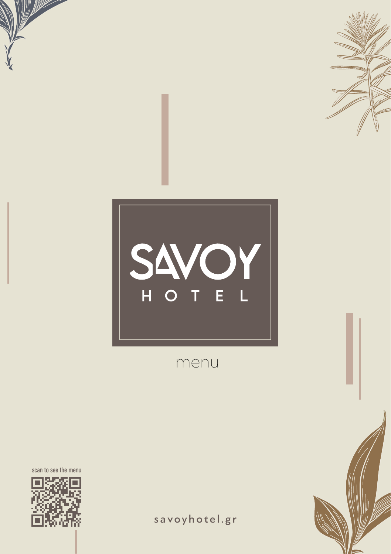

# SAVOY

menu

scan to see the menu



savoyhotel.gr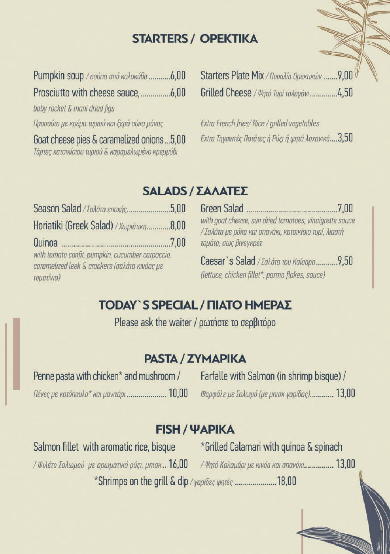### **STARTERS / OPEKTIKA**

Pumpkin soup / σούπα από κολοκύθα ............6,00 baby rocket & mani dried fias Προσούτο με κρέμα τυριού και ξερά σύκα μάνης Goat cheese pies & caramelized onions...5.00 Τάρτες κατσικίσιου τυριού & καραμελωμένο κρεμμύδι

Starters Plate Mix / Поикіліа Оректиком ....... 9.00 Grilled Cheese / Ψητό Τυρί ταλαγάνι...............4.50

Extra French fries/ Rice / arilled vegetables Extra Tnyavitéc Natátec ή Púzi ή ψητά λαχανικά....3.50

#### **SALADS / ΣΑΛΑΤΕΣ**

Season Salad / *Lakára εποχής......................*.5,00 Horiatiki (Greek Salad) / Xwpiátikn............8,00 with tomato confit, pumpkin, cucumber carpaccio, caramelized leek & crackers (σαλάτα κινόας με τοματίνια)

with goat cheese, sun dried tomatoes, vinaigrette sauce / Σαλάτα με ρόκα και σπανάκι, κατσικίσιο τυρί, λιαστή τομάτα, σως βινεγκρέτ

Caesar's Salad / *Σαλάτα του Καίσαρα...........*9.50 (lettuce, chicken fillet\*, parma flakes, sauce)

## **ΤΟDAY`S SPECIAL / ΠΙΑΤΟ ΗΜΕΡΑΣ**

Please ask the waiter / ρωτήστε το σερβιτόρο

#### **PASTA / ZYMAPIKA**

| Penne pasta with chicken* and mushroom / |  |
|------------------------------------------|--|
| Πένες με κοτόπουλο* και μανιτάρι  10,01  |  |

Farfalle with Salmon (in shrimp bisque) / Φαρφάλε με Σολωμό (με μπισκ γαρίδας)............ 13,00

#### **FISH / WAPIKA**

Salmon fillet with aromatic rice, bisque / Філе́то Σолωμού με арωματικό ρύζι, μπισκ.. 16,00 / Ψητό Καλαμάρι με κινόα και σπανάκι................ 13,00

\*Grilled Calamari with guinoa & spinach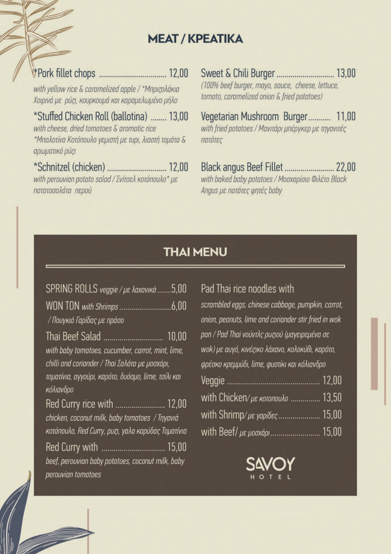#### **MEAT / KPEATIKA**

with vellow rice & caramelized apple / \* Mnorzoλάκια Χοιρινά με ρύζι, κουρκουμά και καραμελωμένο μήλο

\*Stuffed Chicken Roll (ballotina) ....... 13.00 with cheese, dried tomatoes & aromatic rice \*Μπαλοτίνα Κοτόπουλο γεμιστή με τυρι, λιαστή τομάτα & αρωματικό ρύζι

with perouvian potato salad / Σνίτσελ κοτόπουλο\* με πατατοσαλάτα περού

(100% beef burger, mayo, sauce, cheese, lettuce, tomato, caramelized onion & fried potatoes)

Vegetarian Mushroom Burger........... 11,00 with fried potatoes / Μανιτάρι μπέργκερ με τηγανιτές πατάτες

with baked baby potatoes / Mooxapíoio Φιλέτο Black Angus με πατάτες ψητές baby

#### **THAI MENU**

#### Pad Thai rice noodles with

scrambled eggs, chinese cabbage, pumpkin, carrot, onion, peanuts, lime and coriander stir fried in wok pan / Pad Thai νούντλς ρυζιού (μαγειρεμένα σε wok) με αυγό, κινέςικο λάχανο, κολοκύθι, καρότο, φρέσκο κρεμμύδι, lime, φυστίκι και κόλιανδρο with Chicken/ue KOTONOMO ............... 13,50 with Shrimp/με γαρίδες........................ 15,00 with Beef/ µe µooxápı ............................... 15,00

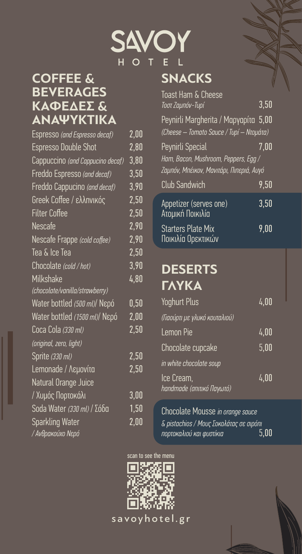

# **COFFEE & BEVERAGES ΚΑΦΈΔΕΣ & ΑΝΑΨΥΚΤΙΚΑ**

| Espresso (and Espresso decaf)    | 2,00 |
|----------------------------------|------|
| <b>Espresso Double Shot</b>      | 2,80 |
| Cappuccino (and Cappucino decaf) | 3,80 |
| Freddo Espresso (and decaf)      | 3,50 |
| Freddo Cappucino (and decaf)     | 3,90 |
| Greek Coffee / ελληνικός         | 2,50 |
| <b>Filter Coffee</b>             | 2,50 |
| <b>Nescafe</b>                   | 2,90 |
| Nescafe Frappe (cold coffee)     | 2,90 |
| Tea & Ice Tea                    | 2,50 |
| Chocolate (cold / hot)           | 3,90 |
| Milkshake                        | 4,80 |
| (chocolate/vanilla/strawberry)   |      |
| Water bottled (500 ml)/ Nepó     | 0,50 |
| Water bottled (1500 ml)/ Nepó    | 2,00 |
| Coca Cola (330 ml)               | 2,50 |
| (original, zero, light)          |      |
| Sprite (330 ml)                  | 2,50 |
| Lemonade / Λεμονίτα              | 2,50 |
| Natural Orange Juice             |      |
| / Χυμός Πορτοκάλι                | 3,00 |
| Soda Water (330 ml) / Σόδα       | 1,50 |
| <b>Sparkling Water</b>           | 2,00 |
| / Ανθρακούχο Νερό                |      |

| Toast Ham & Cheese                                                               |      |  |
|----------------------------------------------------------------------------------|------|--|
| Τοστ Ζαμπόν-Τυρί                                                                 | 3,50 |  |
| Peynirli Margherita / Μαργαρίτα 5,00<br>(Cheese – Tomato Sauce / Tupí – Ntoµáta) |      |  |
| Peynirli Special                                                                 | 7.00 |  |
| Ham, Bacon, Mushroom, Peppers, Egg /                                             |      |  |
| Ζαμπόν, Μπέικον, Μανιτάρι, Πιπεριά, Αυγό                                         |      |  |
| Club Sandwich                                                                    | 9,50 |  |
| Appetizer (serves one)<br>Ατομική Ποικιλία                                       | 3,50 |  |
| <b>Starters Plate Mix</b><br>Ποικιλία Ορεκτικών                                  | 9.00 |  |

# **DESERTS ΓΛΥΚΑ**

| Yoghurt Plus                            | 4,00 |
|-----------------------------------------|------|
| (Γιαούρτι με γλυκό κουταλιού)           |      |
| Lemon Pie                               | 4,00 |
| Chocolate cupcake                       | 5,00 |
| in white chocolate soup                 |      |
| Ice Cream,<br>handmade (σπιτικό Παγωτό) | 4,00 |

Chocolate Mousse *in orange sauce & pistachios / Μους Σοκολάτας σε σιρόπι πορτοκαλιού και φυστίκια* 5,00

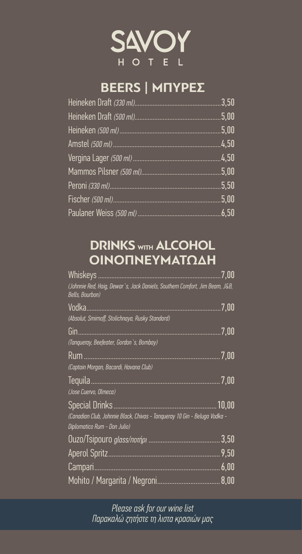

# **BEERS | ΜΠΥΡΕΣ**

| .3,50 |
|-------|
| 5,00  |
| 5,00  |
|       |
|       |
|       |
| .5,50 |
|       |
|       |

# **DRINKS WITH ALCOHOL ΟΙΝΟΠΝΕΥΜΑΤΏΔΗ**

| Whiskeys.                                                                                                                          | 7,00  |
|------------------------------------------------------------------------------------------------------------------------------------|-------|
| (Johnnie Red, Haig, Dewar`s, Jack Daniels, Southern Comfort, Jim Beam, J&B,<br>Bells, Bourbon)                                     |       |
| Vodka<br>(Absolut, Smirnoff, Stolichnaya, Rusky Standard)                                                                          | 7,00  |
| Gin<br>(Tangueray, Beefeater, Gordon `s, Bombay)                                                                                   | 7,00  |
| Rum<br>(Captain Morgan, Bacardi, Havana Club)                                                                                      | 7,00  |
| Tequila<br>(Jose Cuervo, Olmeca)                                                                                                   | 7,00  |
| <b>Special Drinks</b><br>(Canadian Club, Johnnie Black, Chivas - Tanqueray 10 Gin - Beluga Vodka -<br>Diplomatico Rum - Don Julio) | 10,00 |
|                                                                                                                                    | 3,50  |
|                                                                                                                                    | 9,50  |
| Campari                                                                                                                            | 6,00  |
|                                                                                                                                    | 8,00  |

*Please ask for our wine list Παρακαλώ ζητήστε τη λιστα κρασιών μας*